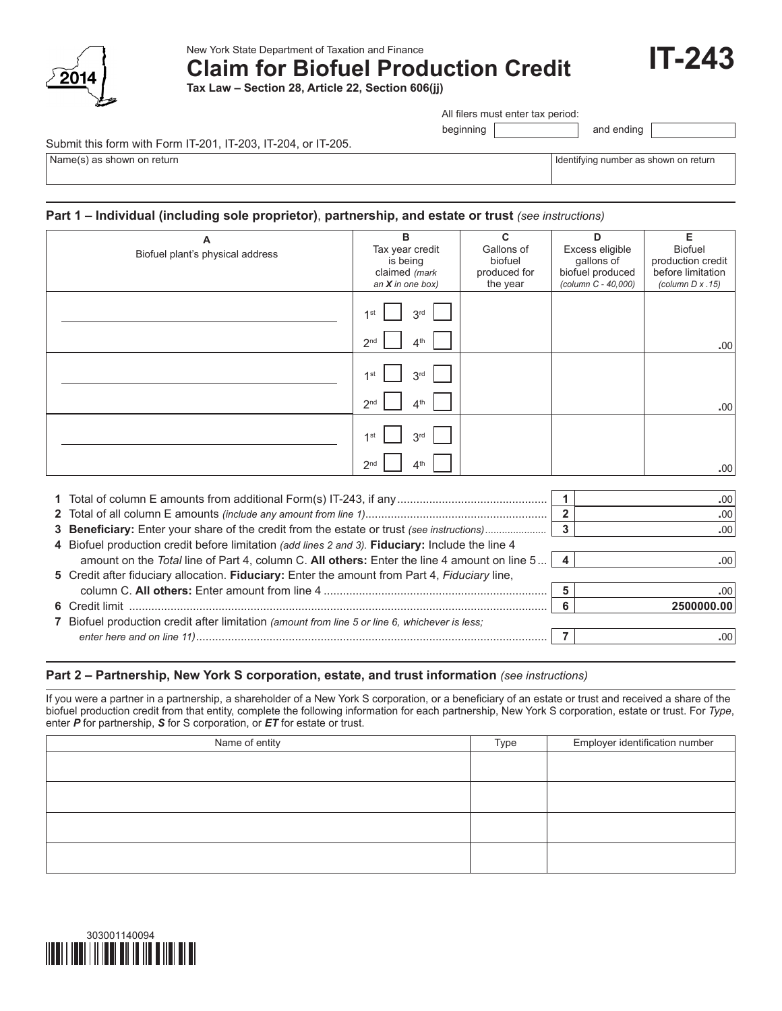

New York State Department of Taxation and Finance

**Claim for Biofuel Production Credit**

**Tax Law – Section 28, Article 22, Section 606(jj)**

All filers must enter tax period:

beginning and ending

Submit this form with Form IT-201, IT-203, IT-204, or IT-205.

Name(s) as shown on return in the term in the state of the state of the state of the state of the state of the state of the state of the state of the state of the state of the state of the state of the state of the state o

**IT-243**

# **Part 1 – Individual (including sole proprietor)**, **partnership, and estate or trust** *(see instructions)*

| А                                | B                                  | $\mathbf{C}$             | D                                       | Е                                      |
|----------------------------------|------------------------------------|--------------------------|-----------------------------------------|----------------------------------------|
| Biofuel plant's physical address | Tax year credit                    | Gallons of               | Excess eligible                         | <b>Biofuel</b>                         |
|                                  | is being<br>claimed (mark          | biofuel                  | gallons of                              | production credit<br>before limitation |
|                                  | an $X$ in one box)                 | produced for<br>the year | biofuel produced<br>(column C - 40,000) | (column $D \times .15$ )               |
|                                  |                                    |                          |                                         |                                        |
|                                  | 3 <sup>rd</sup><br>1st             |                          |                                         |                                        |
|                                  | 4 <sup>th</sup><br>2 <sub>nd</sub> |                          |                                         | .00                                    |
|                                  |                                    |                          |                                         |                                        |
|                                  | 3 <sup>rd</sup><br>1st             |                          |                                         |                                        |
|                                  | 4 <sup>th</sup><br>2 <sub>nd</sub> |                          |                                         | .00                                    |
|                                  |                                    |                          |                                         |                                        |
|                                  | 1st<br>3 <sup>rd</sup>             |                          |                                         |                                        |
|                                  | 4 <sup>th</sup><br>2 <sup>nd</sup> |                          |                                         | .00                                    |
|                                  |                                    |                          |                                         |                                        |
|                                  |                                    |                          | 1                                       | .00                                    |
|                                  |                                    |                          | $\overline{\mathbf{2}}$                 | .00 <sub>1</sub>                       |

|                                                                                                   |  | .00              |  |  |  |
|---------------------------------------------------------------------------------------------------|--|------------------|--|--|--|
|                                                                                                   |  | .00 <sub>1</sub> |  |  |  |
| 4 Biofuel production credit before limitation (add lines 2 and 3). Fiduciary: Include the line 4  |  |                  |  |  |  |
| amount on the Total line of Part 4, column C. All others: Enter the line 4 amount on line $5   4$ |  | .00              |  |  |  |
| 5 Credit after fiduciary allocation. Fiduciary: Enter the amount from Part 4, Fiduciary line,     |  |                  |  |  |  |
|                                                                                                   |  | .00              |  |  |  |
|                                                                                                   |  | 2500000.00       |  |  |  |
| 7 Biofuel production credit after limitation (amount from line 5 or line 6, whichever is less;    |  |                  |  |  |  |
|                                                                                                   |  |                  |  |  |  |

# **Part 2 – Partnership, New York S corporation, estate, and trust information** *(see instructions)*

If you were a partner in a partnership, a shareholder of a New York S corporation, or a beneficiary of an estate or trust and received a share of the biofuel production credit from that entity, complete the following information for each partnership, New York S corporation, estate or trust. For *Type*, enter *P* for partnership, *S* for S corporation, or *ET* for estate or trust.

| Name of entity | Type | Employer identification number |
|----------------|------|--------------------------------|
|                |      |                                |
|                |      |                                |
|                |      |                                |
|                |      |                                |
|                |      |                                |
|                |      |                                |
|                |      |                                |
|                |      |                                |